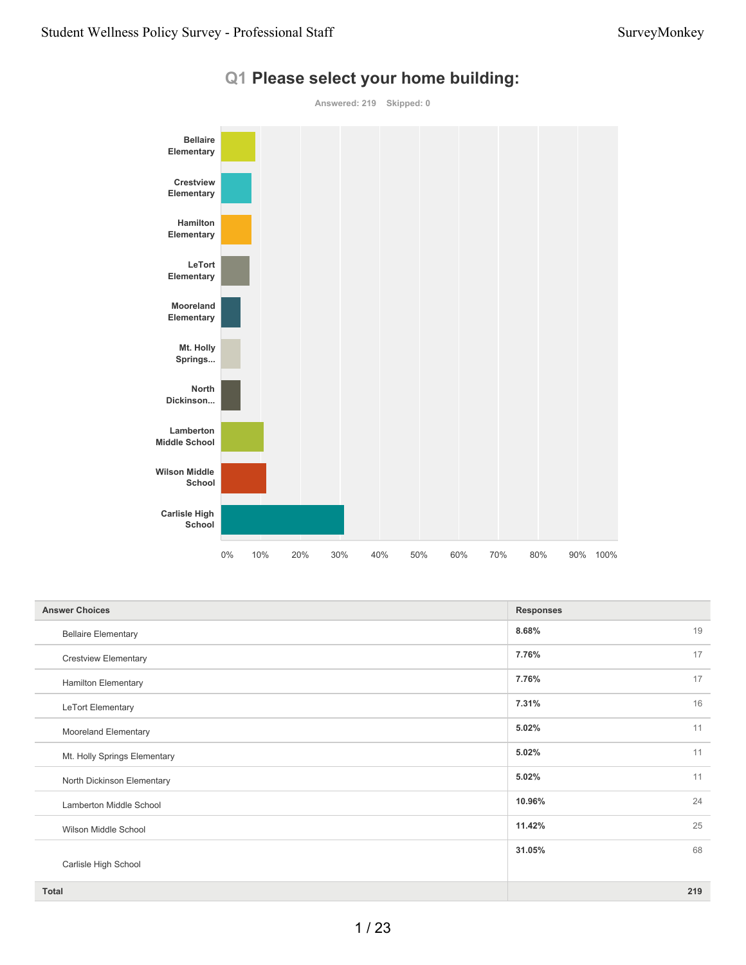

#### **Q1 Please select your home building:**

| <b>Answer Choices</b>        | <b>Responses</b> |  |
|------------------------------|------------------|--|
| <b>Bellaire Elementary</b>   | 19<br>8.68%      |  |
| <b>Crestview Elementary</b>  | 7.76%<br>17      |  |
| <b>Hamilton Elementary</b>   | 17<br>7.76%      |  |
| LeTort Elementary            | 7.31%<br>16      |  |
| Mooreland Elementary         | 11<br>5.02%      |  |
| Mt. Holly Springs Elementary | 11<br>5.02%      |  |
| North Dickinson Elementary   | 11<br>5.02%      |  |
| Lamberton Middle School      | 24<br>10.96%     |  |
| Wilson Middle School         | 25<br>11.42%     |  |
|                              | 68<br>31.05%     |  |
| Carlisle High School         |                  |  |
| <b>Total</b>                 | 219              |  |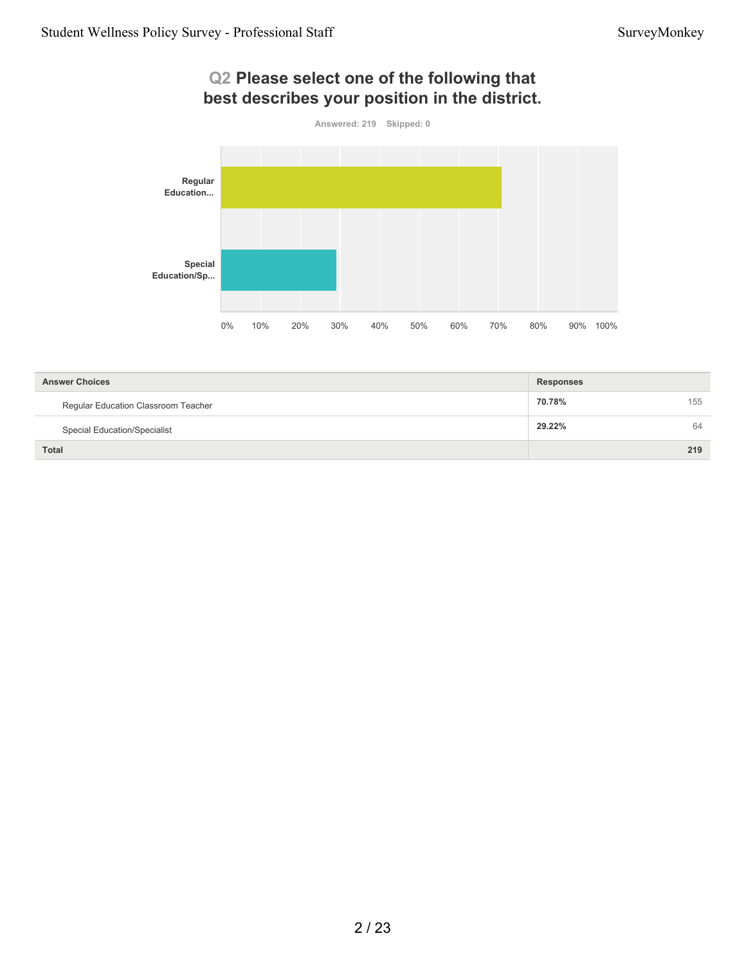#### **Q2 Please select one of the following that best describes your position in the district.**



| <b>Answer Choices</b>               | <b>Responses</b> |     |
|-------------------------------------|------------------|-----|
| Regular Education Classroom Teacher | 70.78%           | 155 |
| <b>Special Education/Specialist</b> | 29.22%           | 64  |
| <b>Total</b>                        |                  | 219 |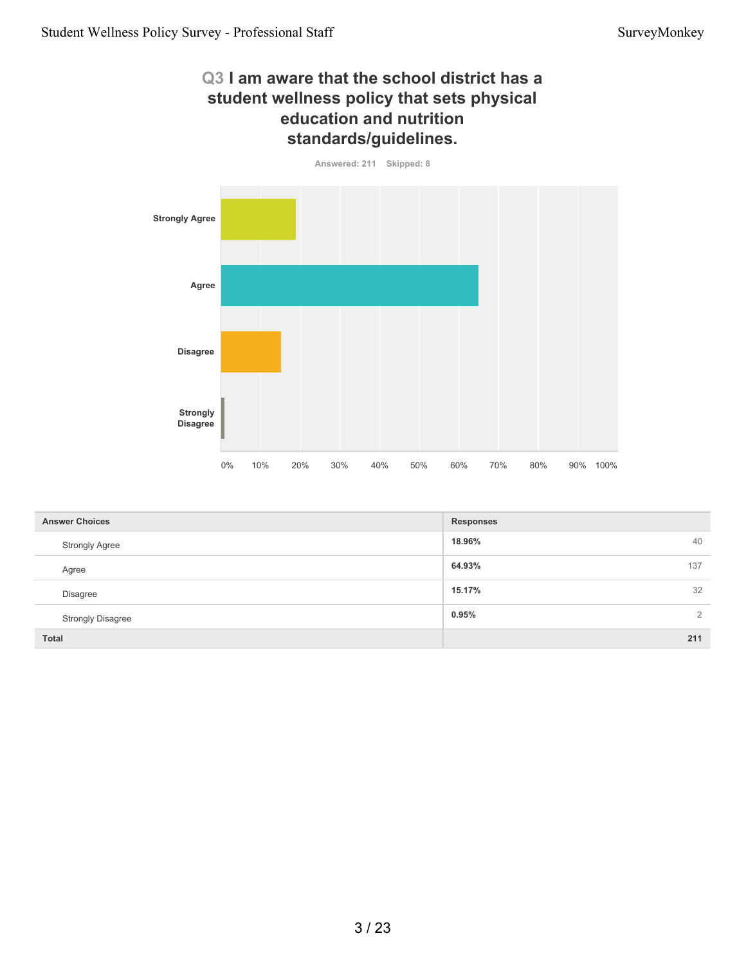#### **Q3 I am aware that the school district has a student wellness policy that sets physical education and nutrition standards/guidelines.**

**Answered: 211 Skipped: 8**



| <b>Answer Choices</b>    | <b>Responses</b> |
|--------------------------|------------------|
| <b>Strongly Agree</b>    | 18.96%<br>40     |
| Agree                    | 64.93%<br>137    |
| <b>Disagree</b>          | 32<br>15.17%     |
| <b>Strongly Disagree</b> | 0.95%<br>2       |
| <b>Total</b>             | 211              |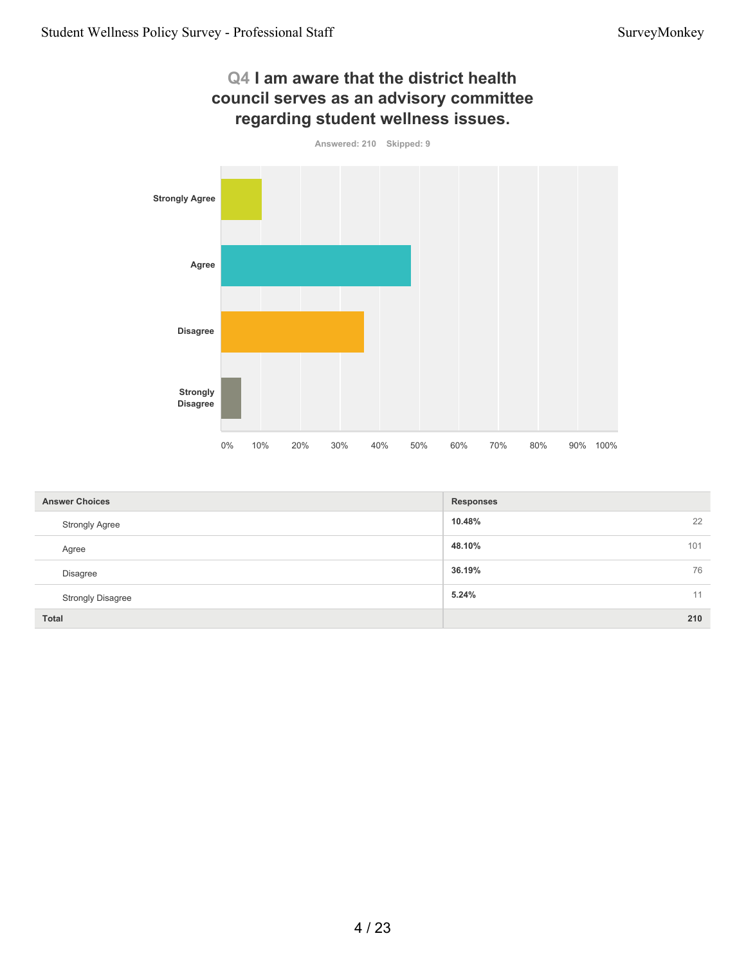

| <b>Answer Choices</b>    | <b>Responses</b> |
|--------------------------|------------------|
| <b>Strongly Agree</b>    | 22<br>10.48%     |
| Agree                    | 48.10%<br>101    |
| <b>Disagree</b>          | 36.19%<br>76     |
| <b>Strongly Disagree</b> | 5.24%<br>11      |
| <b>Total</b>             | 210              |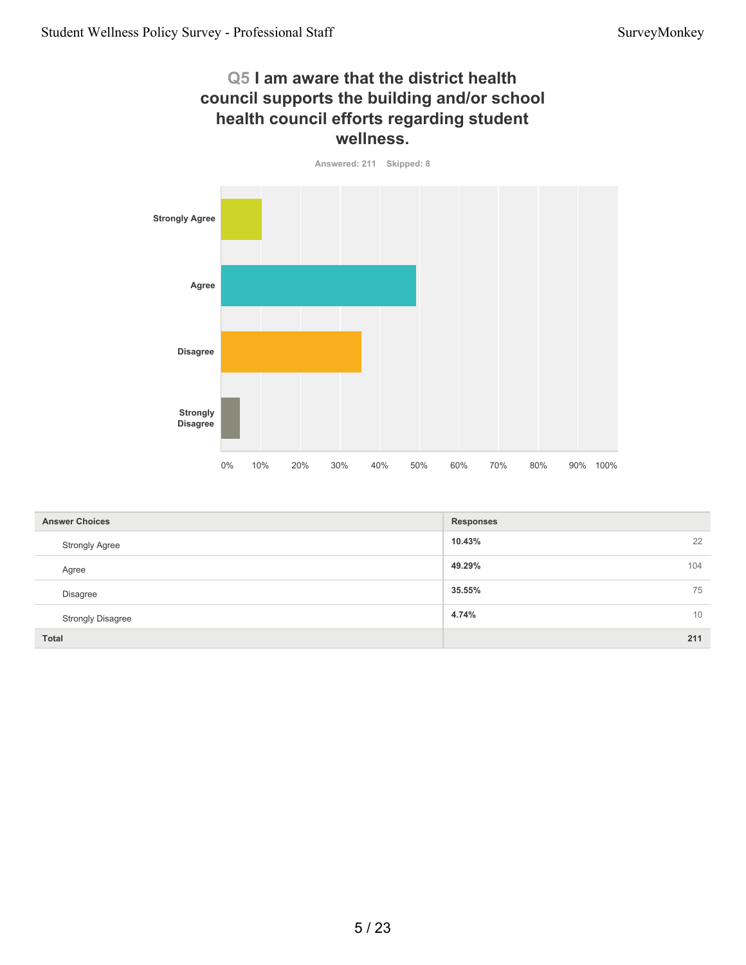#### **Q5 I am aware that the district health council supports the building and/or school health council efforts regarding student wellness.**

**Answered: 211 Skipped: 8**



| <b>Answer Choices</b>    | <b>Responses</b> |
|--------------------------|------------------|
| <b>Strongly Agree</b>    | 22<br>10.43%     |
| Agree                    | 49.29%<br>104    |
| <b>Disagree</b>          | 35.55%<br>75     |
| <b>Strongly Disagree</b> | 4.74%<br>10      |
| <b>Total</b>             | 211              |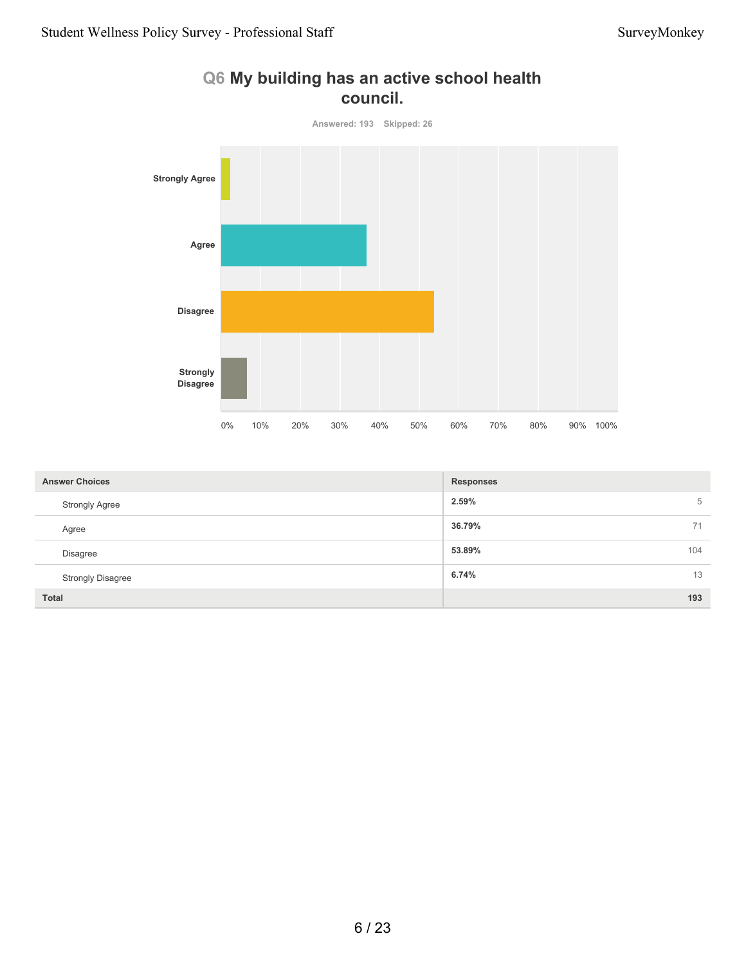

#### **Q6 My building has an active school health council.**

| <b>Answer Choices</b>    | <b>Responses</b> |
|--------------------------|------------------|
| <b>Strongly Agree</b>    | 2.59%<br>5       |
| Agree                    | 36.79%<br>71     |
| <b>Disagree</b>          | 53.89%<br>104    |
| <b>Strongly Disagree</b> | 6.74%<br>13      |
| <b>Total</b>             | 193              |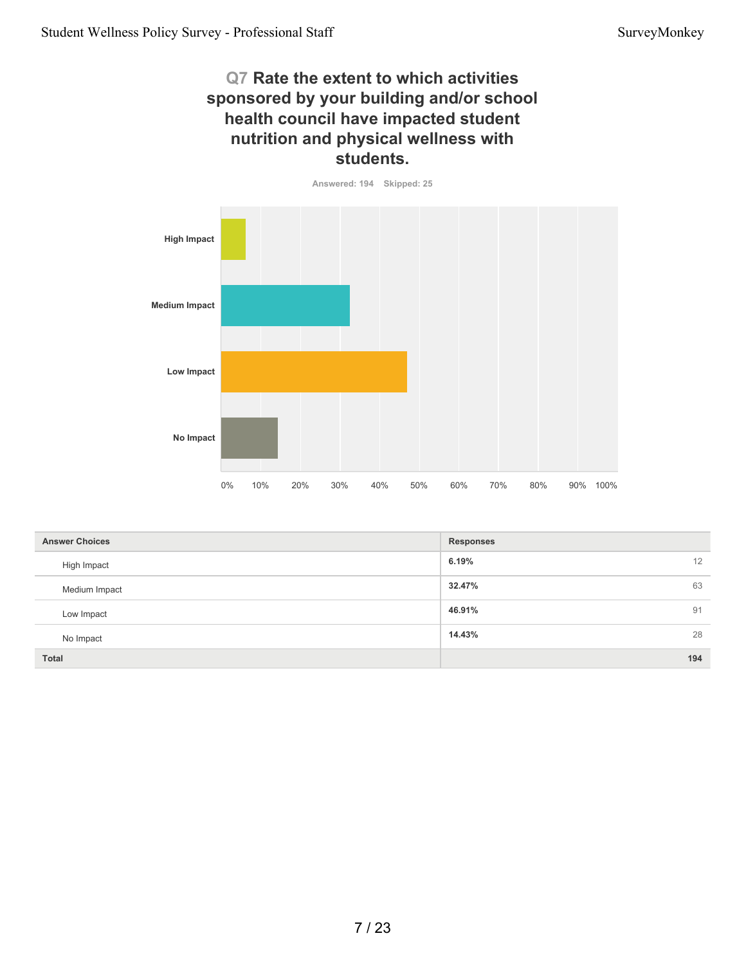## **Q7 Rate the extent to which activities sponsored by your building and/or school health council have impacted student nutrition and physical wellness with students.**



| <b>Answer Choices</b> | <b>Responses</b> |
|-----------------------|------------------|
| High Impact           | 12<br>6.19%      |
| Medium Impact         | 63<br>32.47%     |
| Low Impact            | 91<br>46.91%     |
| No Impact             | 28<br>14.43%     |
| Total                 | 194              |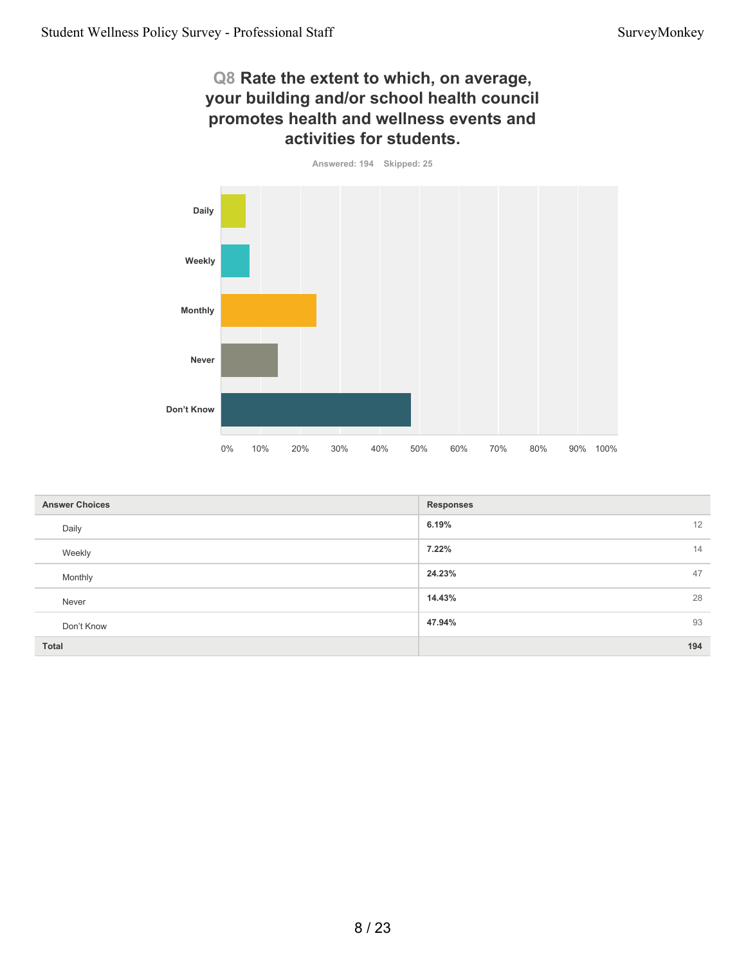#### **Q8 Rate the extent to which, on average, your building and/or school health council promotes health and wellness events and activities for students.**

**Answered: 194 Skipped: 25**



| <b>Answer Choices</b> | <b>Responses</b> |
|-----------------------|------------------|
| Daily                 | 6.19%<br>12      |
| Weekly                | 7.22%<br>14      |
| Monthly               | 47<br>24.23%     |
| Never                 | 28<br>14.43%     |
| Don't Know            | 93<br>47.94%     |
| <b>Total</b>          | 194              |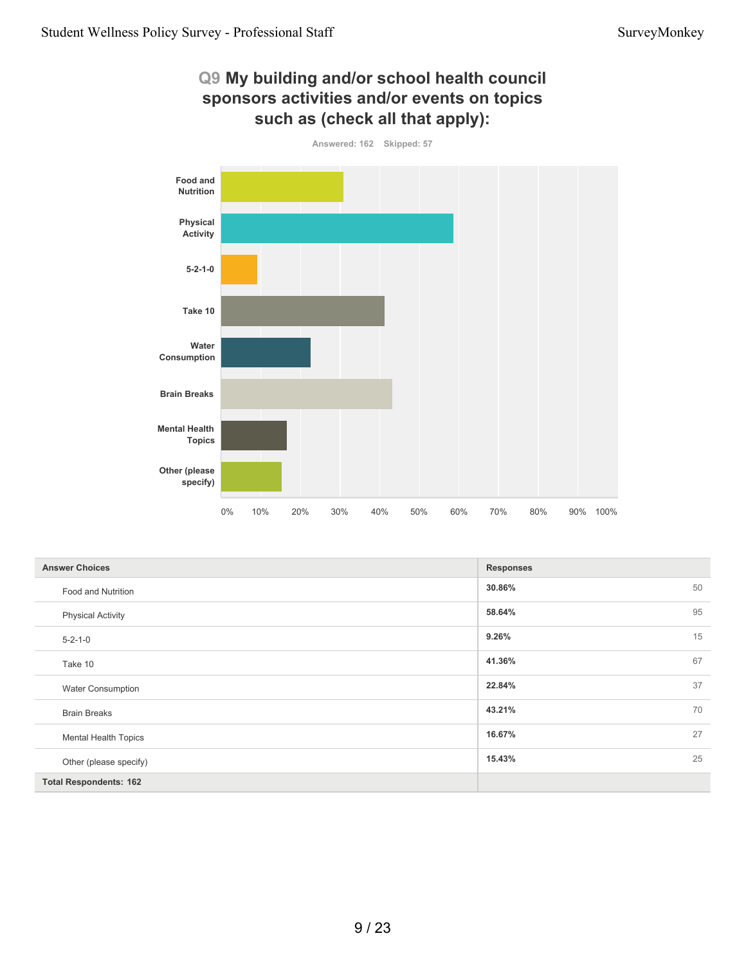

| <b>Answer Choices</b>         | <b>Responses</b> |
|-------------------------------|------------------|
| Food and Nutrition            | 50<br>30.86%     |
| <b>Physical Activity</b>      | 95<br>58.64%     |
| $5 - 2 - 1 - 0$               | 15<br>9.26%      |
| Take 10                       | 67<br>41.36%     |
| <b>Water Consumption</b>      | 37<br>22.84%     |
| <b>Brain Breaks</b>           | 70<br>43.21%     |
| <b>Mental Health Topics</b>   | 27<br>16.67%     |
| Other (please specify)        | 25<br>15.43%     |
| <b>Total Respondents: 162</b> |                  |

**Q9 My building and/or school health council**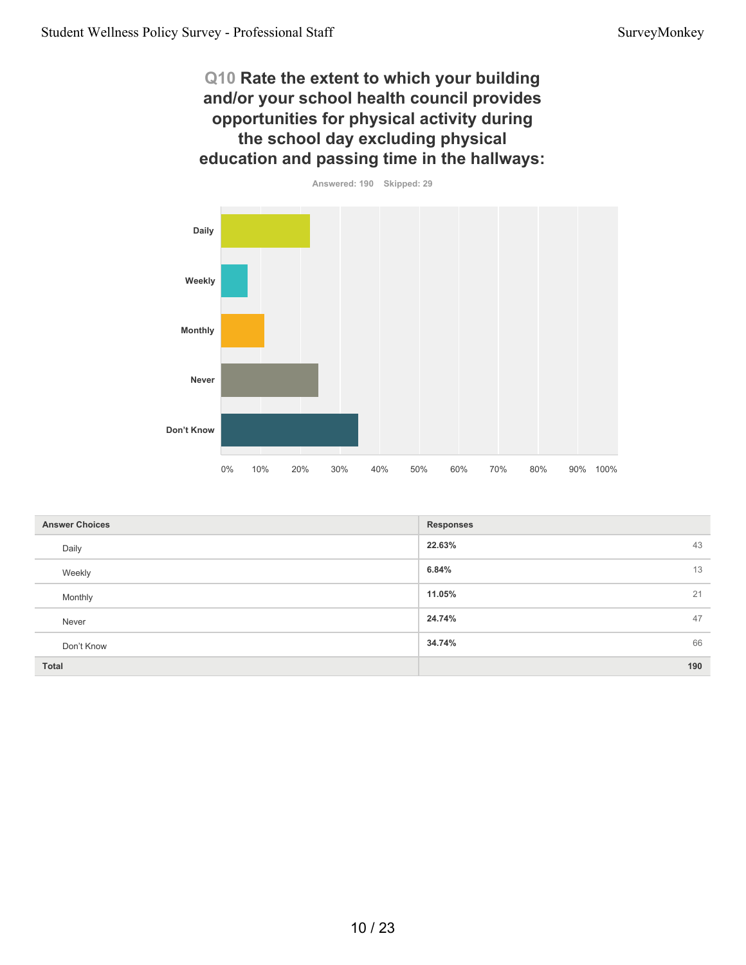## **Q10 Rate the extent to which your building and/or your school health council provides opportunities for physical activity during the school day excluding physical education and passing time in the hallways:**



| <b>Answer Choices</b> | <b>Responses</b> |
|-----------------------|------------------|
| Daily                 | 22.63%<br>43     |
| Weekly                | 6.84%<br>13      |
| Monthly               | 21<br>11.05%     |
| Never                 | 47<br>24.74%     |
| Don't Know            | 66<br>34.74%     |
| Total                 | 190              |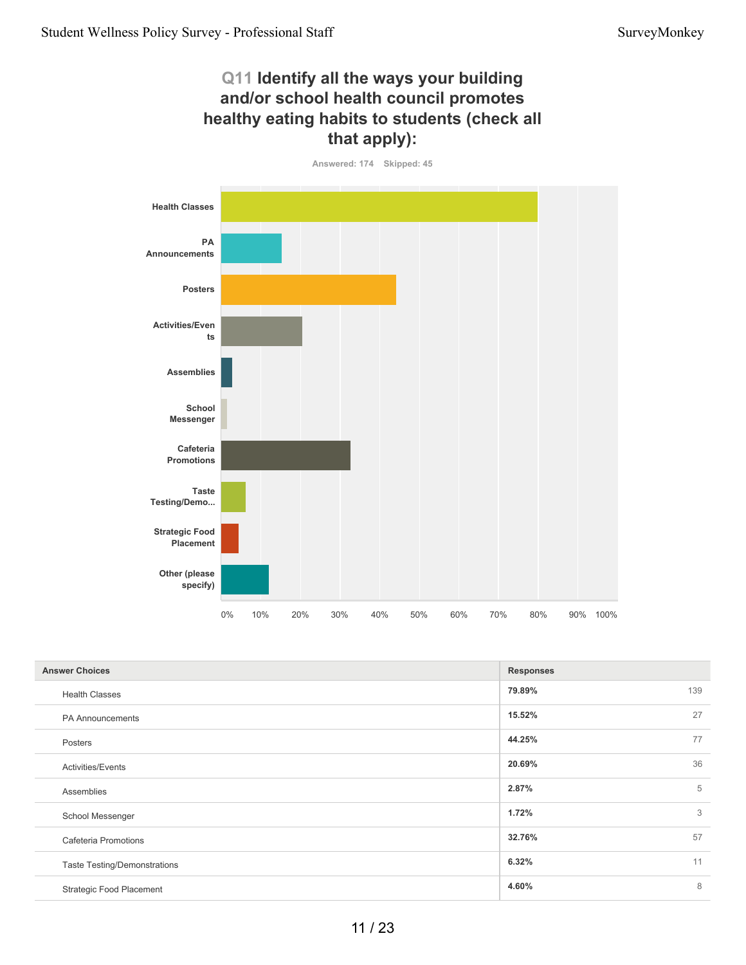# **Q11 Identify all the ways your building and/or school health council promotes healthy eating habits to students (check all that apply):**

![](_page_10_Figure_3.jpeg)

| <b>Answer Choices</b>               | <b>Responses</b> |     |
|-------------------------------------|------------------|-----|
| <b>Health Classes</b>               | 79.89%           | 139 |
| <b>PA Announcements</b>             | 15.52%           | 27  |
| Posters                             | 44.25%           | 77  |
| <b>Activities/Events</b>            | 20.69%           | 36  |
| Assemblies                          | 2.87%            | 5   |
| School Messenger                    | 1.72%            | 3   |
| Cafeteria Promotions                | 32.76%           | 57  |
| <b>Taste Testing/Demonstrations</b> | 6.32%            | 11  |
| <b>Strategic Food Placement</b>     | 4.60%            | 8   |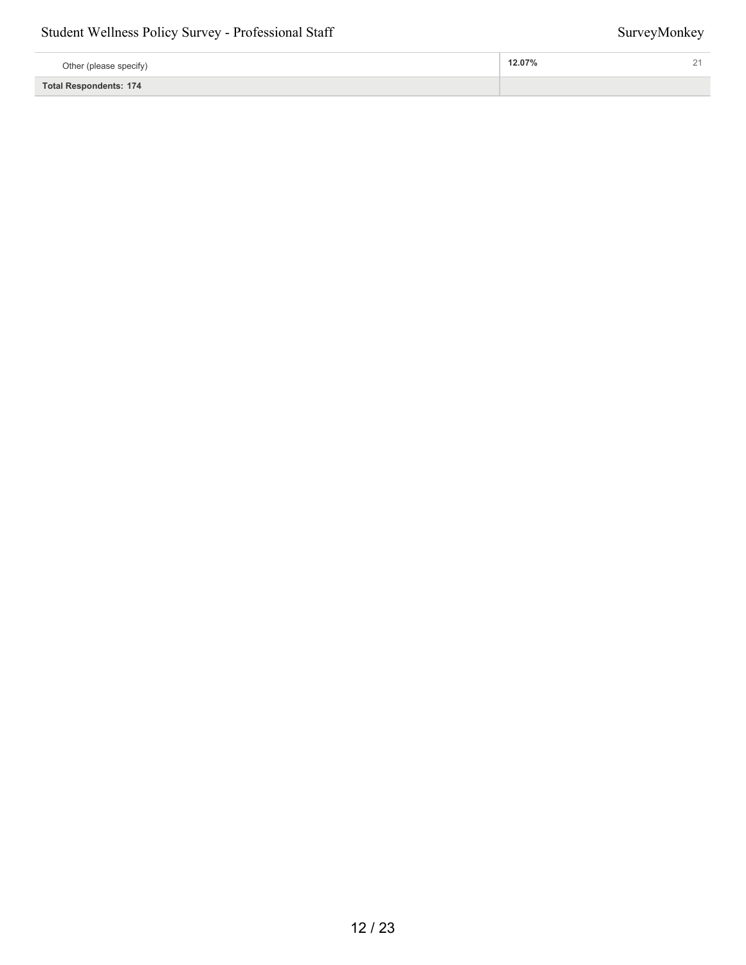| Other (please specify)        | 12.07%<br>- |
|-------------------------------|-------------|
| <b>Total Respondents: 174</b> |             |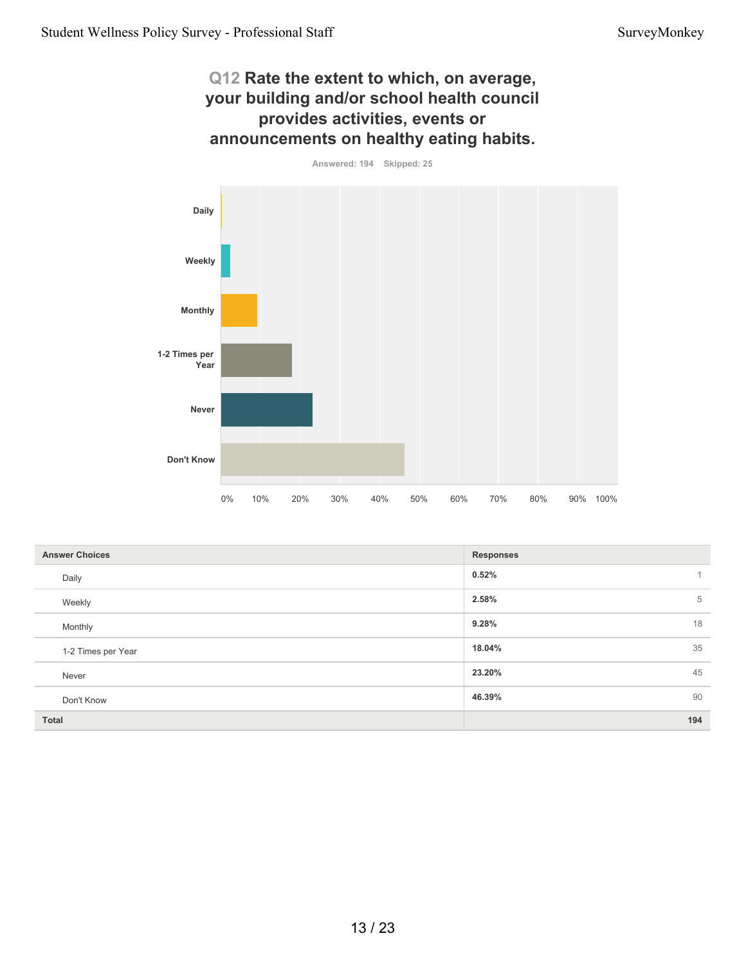#### **Q12 Rate the extent to which, on average, your building and/or school health council provides activities, events or announcements on healthy eating habits.**

**Answered: 194 Skipped: 25**

![](_page_12_Figure_4.jpeg)

| <b>Answer Choices</b> | <b>Responses</b> |
|-----------------------|------------------|
| Daily                 | 0.52%            |
| Weekly                | 2.58%<br>5       |
| Monthly               | 18<br>9.28%      |
| 1-2 Times per Year    | 35<br>18.04%     |
| Never                 | 23.20%<br>45     |
| Don't Know            | 46.39%<br>90     |
| <b>Total</b>          | 194              |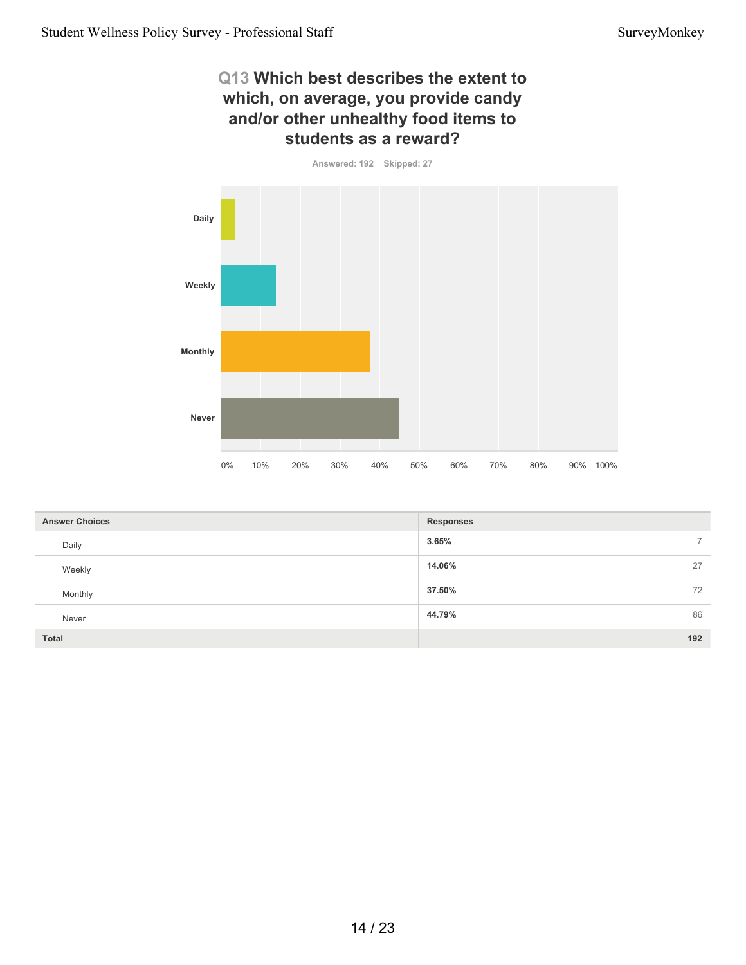#### **Q13 Which best describes the extent to which, on average, you provide candy and/or other unhealthy food items to students as a reward?**

**Answered: 192 Skipped: 27**

![](_page_13_Figure_4.jpeg)

| <b>Answer Choices</b> | <b>Responses</b>        |
|-----------------------|-------------------------|
| Daily                 | 3.65%<br>$\overline{7}$ |
| Weekly                | 14.06%<br>27            |
| Monthly               | 37.50%<br>72            |
| Never                 | 86<br>44.79%            |
| <b>Total</b>          | 192                     |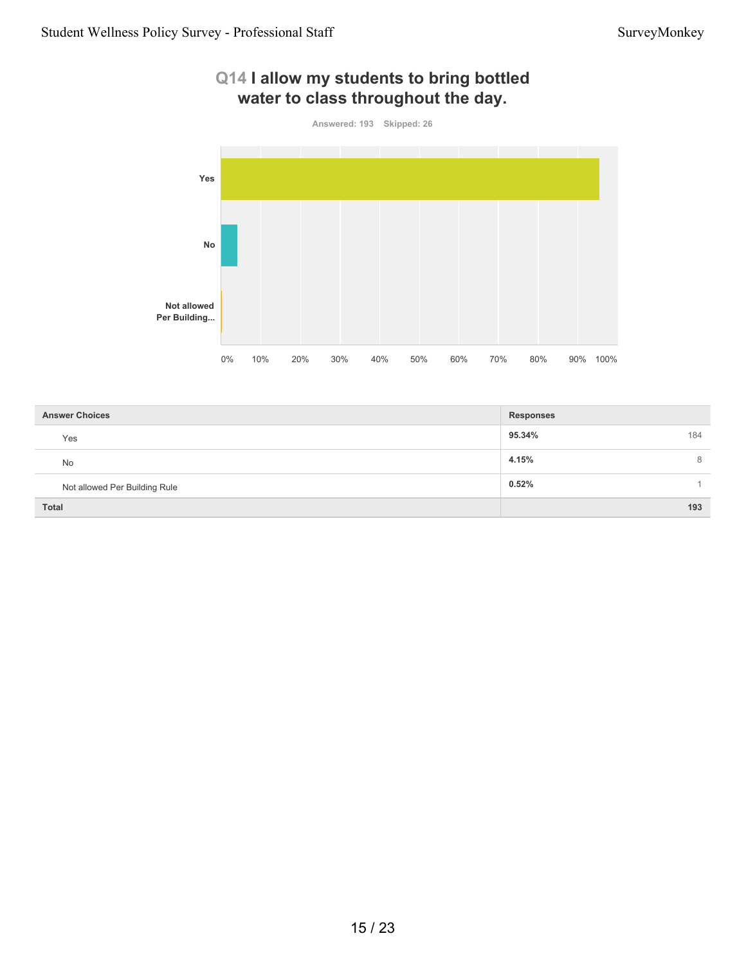![](_page_14_Figure_2.jpeg)

# **Q14 I allow my students to bring bottled**

| <b>Answer Choices</b>         | <b>Responses</b> |
|-------------------------------|------------------|
| Yes                           | 95.34%<br>184    |
| <b>No</b>                     | 4.15%<br>8       |
| Not allowed Per Building Rule | 0.52%            |
| <b>Total</b>                  | 193              |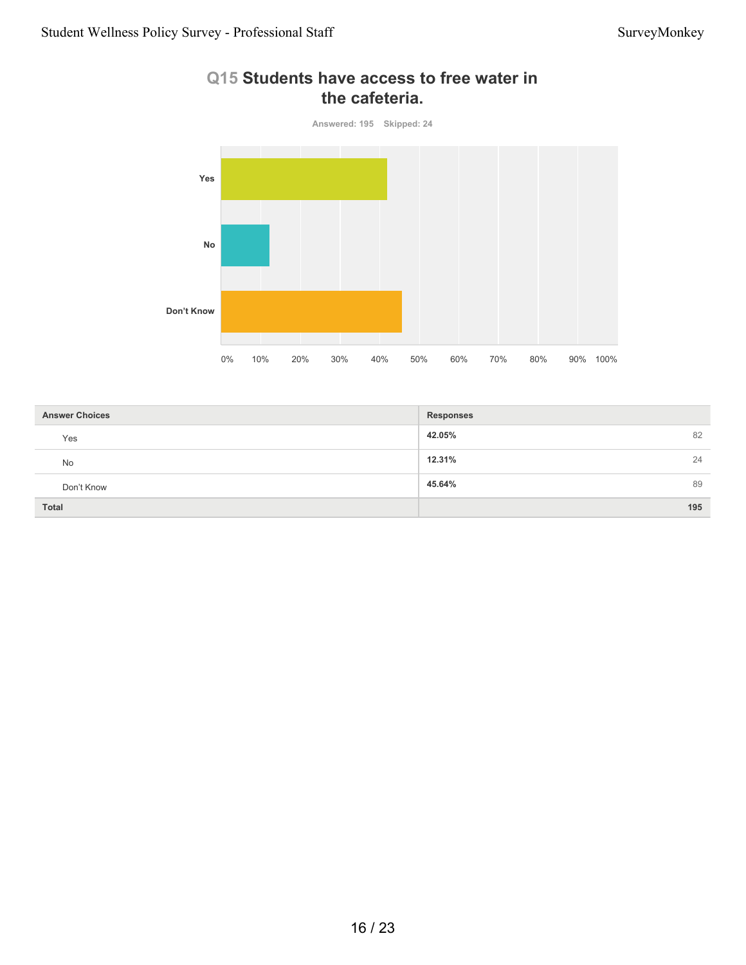![](_page_15_Figure_2.jpeg)

## **Q15 Students have access to free water in the cafeteria.**

| <b>Answer Choices</b> | <b>Responses</b> |
|-----------------------|------------------|
| Yes                   | 42.05%<br>82     |
| <b>No</b>             | 12.31%<br>24     |
| Don't Know            | 45.64%<br>89     |
| <b>Total</b>          | 195              |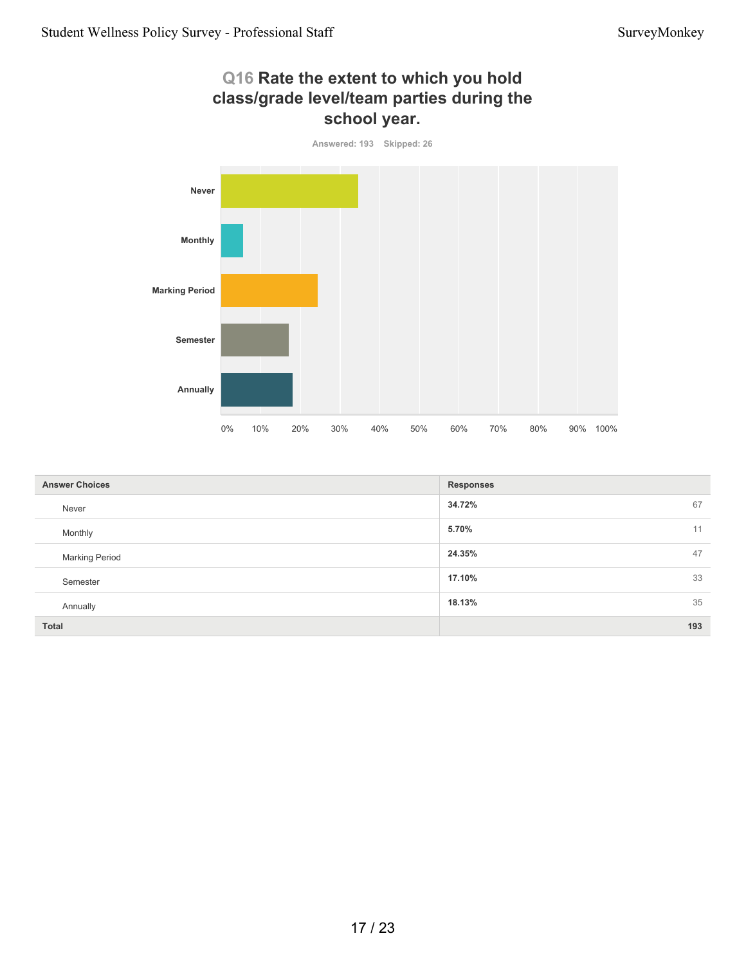# **Q16 Rate the extent to which you hold class/grade level/team parties during the school year.**

![](_page_16_Figure_3.jpeg)

| <b>Answer Choices</b> | <b>Responses</b> |
|-----------------------|------------------|
| Never                 | 34.72%<br>67     |
| Monthly               | 5.70%<br>11      |
| <b>Marking Period</b> | 47<br>24.35%     |
| Semester              | 33<br>17.10%     |
| Annually              | 35<br>18.13%     |
| <b>Total</b>          | 193              |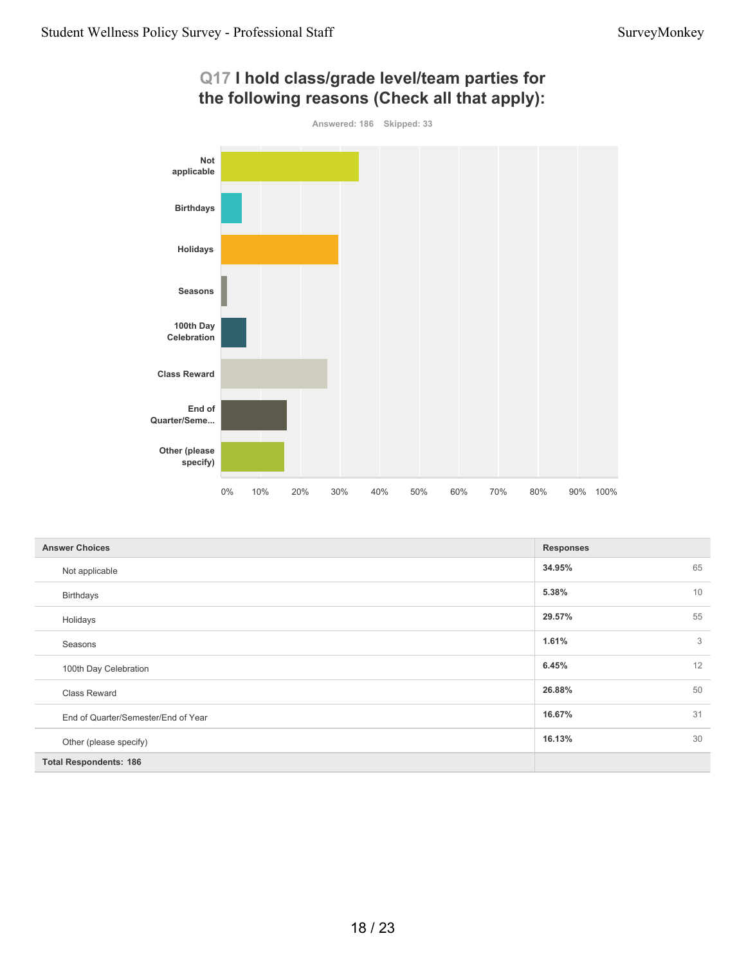![](_page_17_Figure_2.jpeg)

| Q17 I hold class/grade level/team parties for |  |
|-----------------------------------------------|--|
| the following reasons (Check all that apply): |  |

| <b>Answer Choices</b>               | <b>Responses</b> |    |
|-------------------------------------|------------------|----|
| Not applicable                      | 34.95%           | 65 |
| <b>Birthdays</b>                    | 5.38%            | 10 |
| Holidays                            | 29.57%           | 55 |
| Seasons                             | 1.61%            | 3  |
| 100th Day Celebration               | 6.45%            | 12 |
| Class Reward                        | 26.88%           | 50 |
| End of Quarter/Semester/End of Year | 16.67%           | 31 |
| Other (please specify)              | 16.13%           | 30 |
| <b>Total Respondents: 186</b>       |                  |    |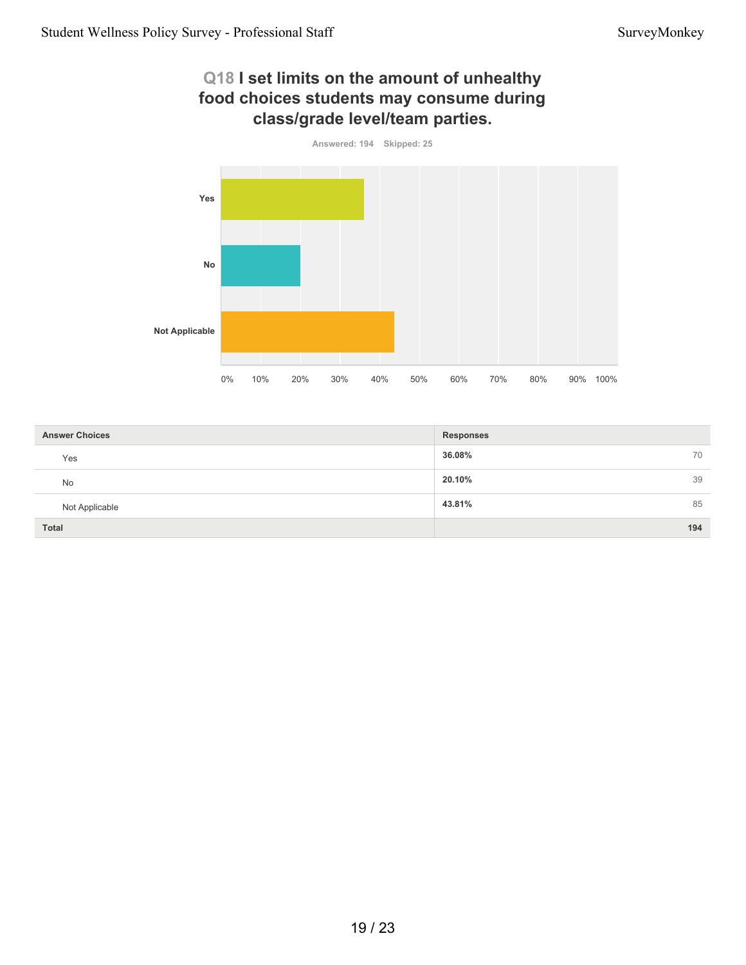## **Q18 I set limits on the amount of unhealthy food choices students may consume during class/grade level/team parties.**

![](_page_18_Figure_3.jpeg)

| <b>Answer Choices</b> | <b>Responses</b> |
|-----------------------|------------------|
| Yes                   | 36.08%<br>70     |
| No                    | 20.10%<br>39     |
| Not Applicable        | 43.81%<br>85     |
| Total                 | 194              |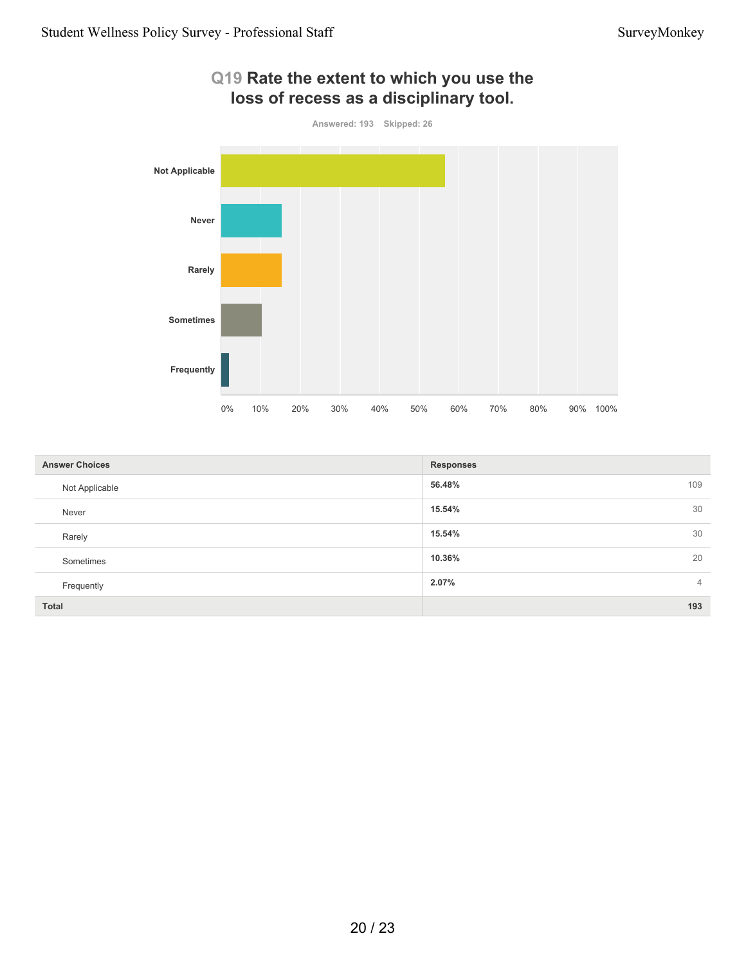![](_page_19_Figure_2.jpeg)

| <b>Answer Choices</b> | <b>Responses</b>        |
|-----------------------|-------------------------|
| Not Applicable        | 109<br>56.48%           |
| Never                 | 30<br>15.54%            |
| Rarely                | 30<br>15.54%            |
| Sometimes             | 20<br>10.36%            |
| Frequently            | 2.07%<br>$\overline{4}$ |
| Total                 | 193                     |

# **Q19 Rate the extent to which you use the**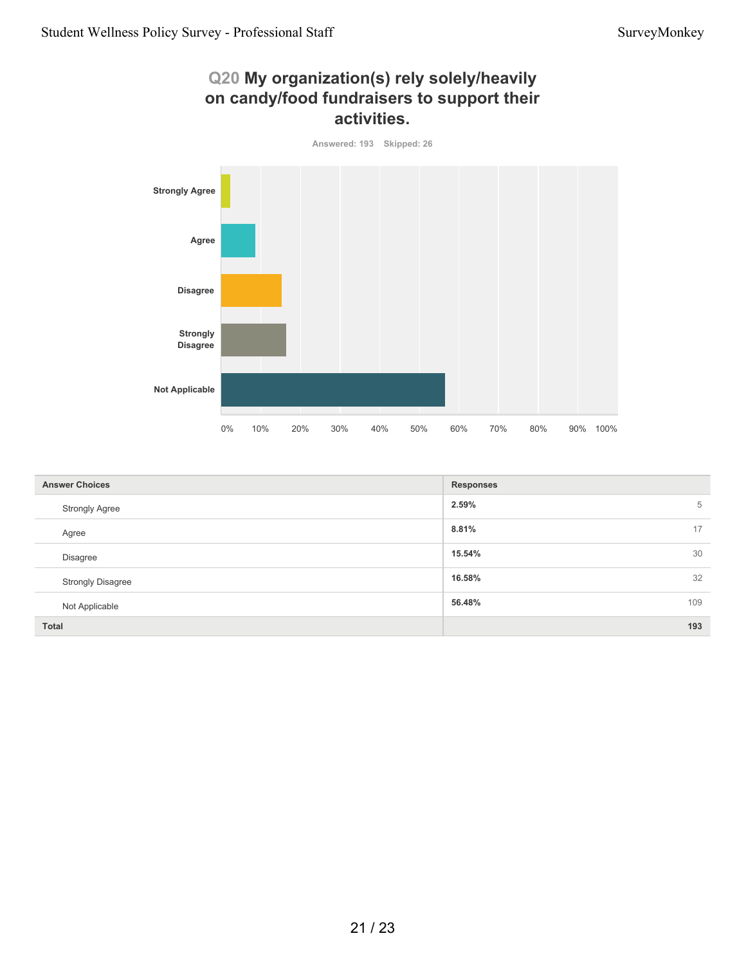# **Q20 My organization(s) rely solely/heavily on candy/food fundraisers to support their activities.**

![](_page_20_Figure_3.jpeg)

| <b>Answer Choices</b>    | <b>Responses</b> |
|--------------------------|------------------|
| <b>Strongly Agree</b>    | 2.59%<br>5       |
| Agree                    | 17<br>8.81%      |
| Disagree                 | 30<br>15.54%     |
| <b>Strongly Disagree</b> | 32<br>16.58%     |
| Not Applicable           | 109<br>56.48%    |
| Total                    | 193              |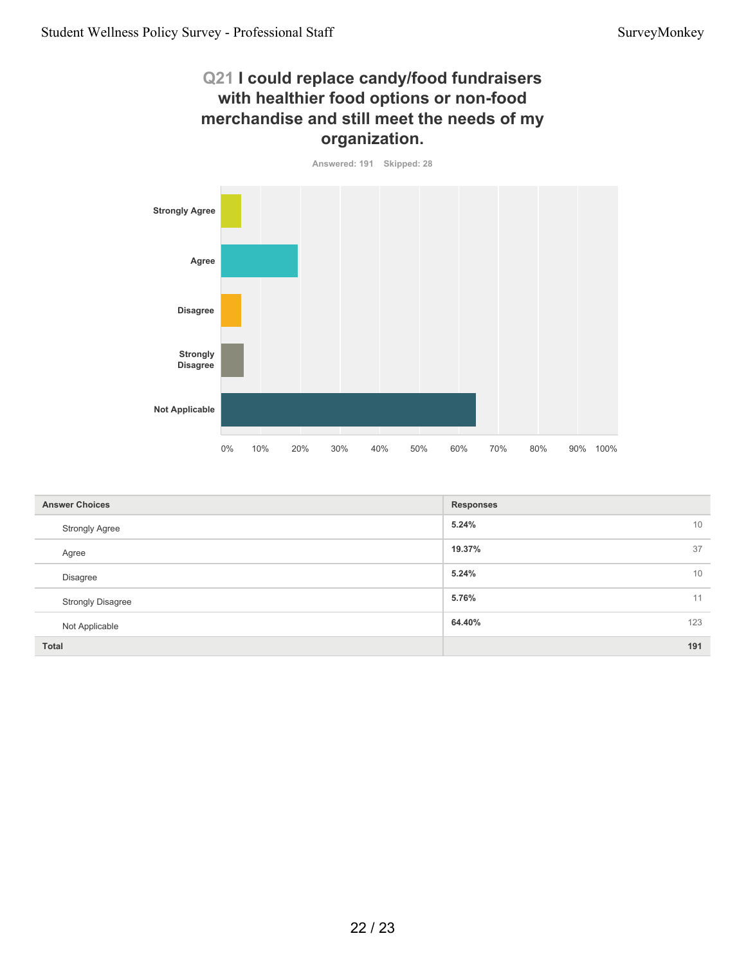#### **Q21 I could replace candy/food fundraisers with healthier food options or non-food merchandise and still meet the needs of my organization.**

![](_page_21_Figure_3.jpeg)

| <b>Answer Choices</b>    | <b>Responses</b> |
|--------------------------|------------------|
| <b>Strongly Agree</b>    | 5.24%<br>10      |
| Agree                    | 37<br>19.37%     |
| Disagree                 | 5.24%<br>10      |
| <b>Strongly Disagree</b> | 5.76%<br>11      |
| Not Applicable           | 123<br>64.40%    |
| <b>Total</b>             | 191              |